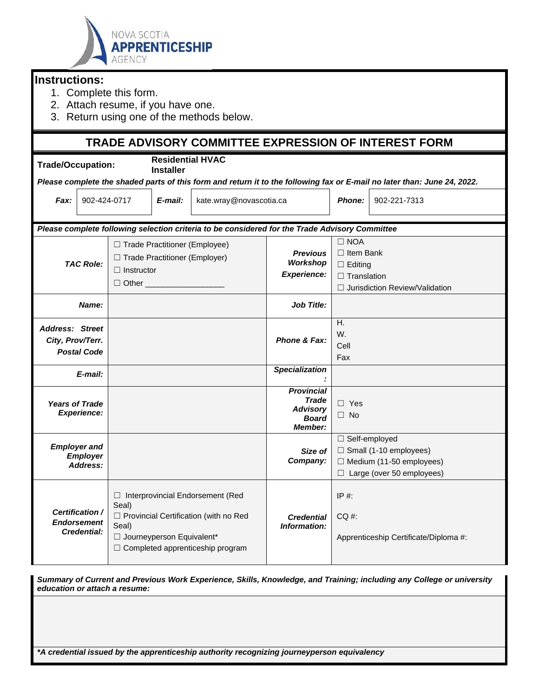

## **Instructions:**

- 1. Complete this form.
- 2. Attach resume, if you have one.
- 3. Return using one of the methods below.

## **TRADE ADVISORY COMMITTEE EXPRESSION OF INTEREST FORM**

| Trade/Occupation:                                                                                                        |                                   |                                             | <b>Residential HVAC</b><br><b>Installer</b> |                                                              |                                   |                                       |                                       |  |  |
|--------------------------------------------------------------------------------------------------------------------------|-----------------------------------|---------------------------------------------|---------------------------------------------|--------------------------------------------------------------|-----------------------------------|---------------------------------------|---------------------------------------|--|--|
| Please complete the shaded parts of this form and return it to the following fax or E-mail no later than: June 24, 2022. |                                   |                                             |                                             |                                                              |                                   |                                       |                                       |  |  |
| 902-424-0717<br>Fax:                                                                                                     |                                   | E-mail:                                     | kate.wray@novascotia.ca                     |                                                              | <b>Phone:</b>                     | 902-221-7313                          |                                       |  |  |
| Please complete following selection criteria to be considered for the Trade Advisory Committee                           |                                   |                                             |                                             |                                                              |                                   |                                       |                                       |  |  |
| <b>TAC Role:</b>                                                                                                         |                                   | □ Trade Practitioner (Employee)             |                                             |                                                              |                                   | $\Box$ NOA                            |                                       |  |  |
|                                                                                                                          |                                   | □ Trade Practitioner (Employer)             |                                             |                                                              | <b>Previous</b>                   | $\Box$ Item Bank                      |                                       |  |  |
|                                                                                                                          |                                   | $\Box$ Instructor                           |                                             |                                                              | <b>Workshop</b><br>$\Box$ Editing |                                       |                                       |  |  |
|                                                                                                                          |                                   | □ Other <u>_________</u> ___                |                                             |                                                              | <b>Experience:</b>                | $\Box$ Translation                    |                                       |  |  |
|                                                                                                                          |                                   |                                             |                                             |                                                              |                                   | $\Box$ Jurisdiction Review/Validation |                                       |  |  |
| Name:                                                                                                                    |                                   |                                             |                                             | <b>Job Title:</b>                                            |                                   |                                       |                                       |  |  |
| <b>Address: Street</b>                                                                                                   |                                   |                                             |                                             |                                                              |                                   | H.                                    |                                       |  |  |
| City, Prov/Terr.                                                                                                         |                                   |                                             |                                             |                                                              | Phone & Fax:                      | W.                                    |                                       |  |  |
| <b>Postal Code</b>                                                                                                       |                                   |                                             |                                             |                                                              |                                   | Cell                                  |                                       |  |  |
|                                                                                                                          |                                   |                                             |                                             |                                                              |                                   | Fax                                   |                                       |  |  |
| E-mail:                                                                                                                  |                                   |                                             |                                             |                                                              | <b>Specialization</b>             |                                       |                                       |  |  |
| <b>Years of Trade</b><br><b>Experience:</b>                                                                              |                                   |                                             |                                             |                                                              | <b>Provincial</b>                 |                                       |                                       |  |  |
|                                                                                                                          |                                   |                                             |                                             |                                                              | Trade<br><b>Advisory</b>          | $\Box$ Yes                            |                                       |  |  |
|                                                                                                                          |                                   |                                             |                                             |                                                              | <b>Board</b>                      | $\Box$ No                             |                                       |  |  |
|                                                                                                                          |                                   |                                             |                                             |                                                              | Member:                           |                                       |                                       |  |  |
| <b>Employer and</b><br><b>Employer</b><br>Address:                                                                       |                                   |                                             |                                             |                                                              |                                   | □ Self-employed                       |                                       |  |  |
|                                                                                                                          |                                   |                                             |                                             |                                                              | Size of                           |                                       | $\Box$ Small (1-10 employees)         |  |  |
|                                                                                                                          |                                   |                                             |                                             |                                                              | Company:                          | $\Box$ Medium (11-50 employees)       |                                       |  |  |
|                                                                                                                          |                                   |                                             |                                             |                                                              |                                   | $\Box$ Large (over 50 employees)      |                                       |  |  |
|                                                                                                                          |                                   | □ Interprovincial Endorsement (Red<br>Seal) |                                             |                                                              |                                   | $IP#$ :                               |                                       |  |  |
| Certification /                                                                                                          | <b>Endorsement</b><br>Credential: |                                             |                                             | □ Provincial Certification (with no Red<br><b>Credential</b> |                                   | $CO#$ :                               |                                       |  |  |
|                                                                                                                          |                                   | Seal)                                       |                                             |                                                              | Information:                      |                                       |                                       |  |  |
|                                                                                                                          |                                   | □ Journeyperson Equivalent*                 |                                             |                                                              |                                   |                                       | Apprenticeship Certificate/Diploma #: |  |  |
|                                                                                                                          |                                   |                                             |                                             | $\Box$ Completed apprenticeship program                      |                                   |                                       |                                       |  |  |

*Summary of Current and Previous Work Experience, Skills, Knowledge, and Training; including any College or university education or attach a resume:*

*\*A credential issued by the apprenticeship authority recognizing journeyperson equivalency*